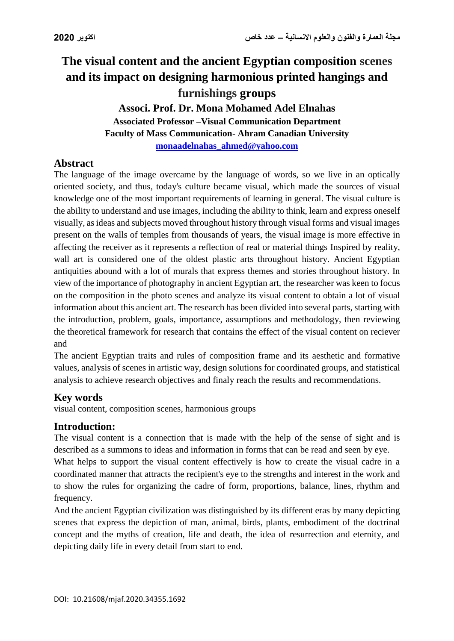# **The visual content and the ancient Egyptian composition scenes and its impact on designing harmonious printed hangings and furnishings groups**

**Associ. Prof. Dr. Mona Mohamed Adel Elnahas Associated Professor –Visual Communication Department Faculty of Mass Communication- Ahram Canadian University [monaadelnahas\\_ahmed@yahoo.com](mailto:monaadelnahas_ahmed@yahoo.com)**

#### **Abstract**

The language of the image overcame by the language of words, so we live in an optically oriented society, and thus, today's culture became visual, which made the sources of visual knowledge one of the most important requirements of learning in general. The visual culture is the ability to understand and use images, including the ability to think, learn and express oneself visually, as ideas and subjects moved throughout history through visual forms and visual images present on the walls of temples from thousands of years, the visual image is more effective in affecting the receiver as it represents a reflection of real or material things Inspired by reality, wall art is considered one of the oldest plastic arts throughout history. Ancient Egyptian antiquities abound with a lot of murals that express themes and stories throughout history. In view of the importance of photography in ancient Egyptian art, the researcher was keen to focus on the composition in the photo scenes and analyze its visual content to obtain a lot of visual information about this ancient art. The research has been divided into several parts, starting with the introduction, problem, goals, importance, assumptions and methodology, then reviewing the theoretical framework for research that contains the effect of the visual content on reciever and

The ancient Egyptian traits and rules of composition frame and its aesthetic and formative values, analysis of scenes in artistic way, design solutions for coordinated groups, and statistical analysis to achieve research objectives and finaly reach the results and recommendations.

#### **Key words**

visual content, composition scenes, harmonious groups

#### **Introduction:**

The visual content is a connection that is made with the help of the sense of sight and is described as a summons to ideas and information in forms that can be read and seen by eye.

What helps to support the visual content effectively is how to create the visual cadre in a coordinated manner that attracts the recipient's eye to the strengths and interest in the work and to show the rules for organizing the cadre of form, proportions, balance, lines, rhythm and frequency.

And the ancient Egyptian civilization was distinguished by its different eras by many depicting scenes that express the depiction of man, animal, birds, plants, embodiment of the doctrinal concept and the myths of creation, life and death, the idea of resurrection and eternity, and depicting daily life in every detail from start to end.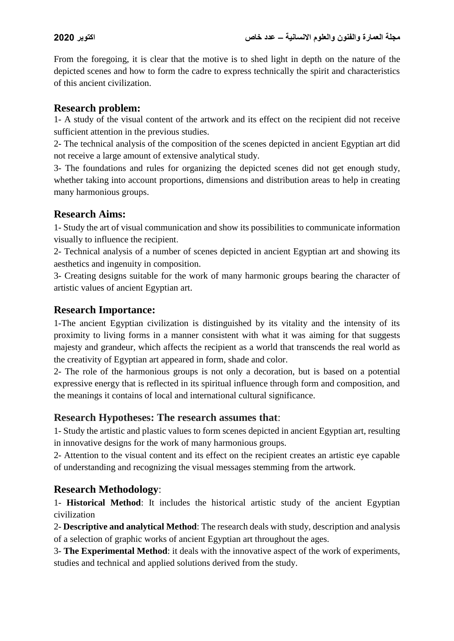From the foregoing, it is clear that the motive is to shed light in depth on the nature of the depicted scenes and how to form the cadre to express technically the spirit and characteristics of this ancient civilization.

#### **Research problem:**

1- A study of the visual content of the artwork and its effect on the recipient did not receive sufficient attention in the previous studies.

2- The technical analysis of the composition of the scenes depicted in ancient Egyptian art did not receive a large amount of extensive analytical study.

3- The foundations and rules for organizing the depicted scenes did not get enough study, whether taking into account proportions, dimensions and distribution areas to help in creating many harmonious groups.

#### **Research Aims:**

1- Study the art of visual communication and show its possibilities to communicate information visually to influence the recipient.

2- Technical analysis of a number of scenes depicted in ancient Egyptian art and showing its aesthetics and ingenuity in composition.

3- Creating designs suitable for the work of many harmonic groups bearing the character of artistic values of ancient Egyptian art.

### **Research Importance:**

1-The ancient Egyptian civilization is distinguished by its vitality and the intensity of its proximity to living forms in a manner consistent with what it was aiming for that suggests majesty and grandeur, which affects the recipient as a world that transcends the real world as the creativity of Egyptian art appeared in form, shade and color.

2- The role of the harmonious groups is not only a decoration, but is based on a potential expressive energy that is reflected in its spiritual influence through form and composition, and the meanings it contains of local and international cultural significance.

### **Research Hypotheses: The research assumes that**:

1- Study the artistic and plastic values to form scenes depicted in ancient Egyptian art, resulting in innovative designs for the work of many harmonious groups.

2- Attention to the visual content and its effect on the recipient creates an artistic eye capable of understanding and recognizing the visual messages stemming from the artwork.

### **Research Methodology**:

1- **Historical Method**: It includes the historical artistic study of the ancient Egyptian civilization

2- **Descriptive and analytical Method**: The research deals with study, description and analysis of a selection of graphic works of ancient Egyptian art throughout the ages.

3- **The Experimental Method**: it deals with the innovative aspect of the work of experiments, studies and technical and applied solutions derived from the study.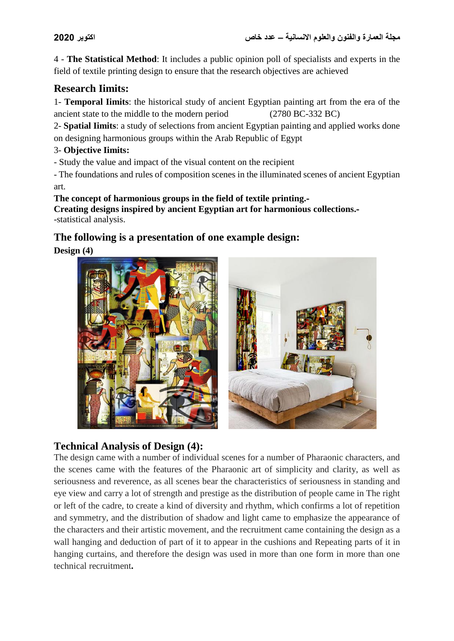4 - **The Statistical Method**: It includes a public opinion poll of specialists and experts in the field of textile printing design to ensure that the research objectives are achieved

## **Research Iimits:**

1- **Temporal Iimits**: the historical study of ancient Egyptian painting art from the era of the ancient state to the middle to the modern period (2780 BC-332 BC)

2- **Spatial Iimits**: a study of selections from ancient Egyptian painting and applied works done on designing harmonious groups within the Arab Republic of Egypt

#### 3- **Objective Iimits:**

- Study the value and impact of the visual content on the recipient

- The foundations and rules of composition scenes in the illuminated scenes of ancient Egyptian art.

#### **The concept of harmonious groups in the field of textile printing.- Creating designs inspired by ancient Egyptian art for harmonious collections.-** -statistical analysis.

## **The following is a presentation of one example design:**

**Design (4)**



## **Technical Analysis of Design (4):**

The design came with a number of individual scenes for a number of Pharaonic characters, and the scenes came with the features of the Pharaonic art of simplicity and clarity, as well as seriousness and reverence, as all scenes bear the characteristics of seriousness in standing and eye view and carry a lot of strength and prestige as the distribution of people came in The right or left of the cadre, to create a kind of diversity and rhythm, which confirms a lot of repetition and symmetry, and the distribution of shadow and light came to emphasize the appearance of the characters and their artistic movement, and the recruitment came containing the design as a wall hanging and deduction of part of it to appear in the cushions and Repeating parts of it in hanging curtains, and therefore the design was used in more than one form in more than one technical recruitment**.**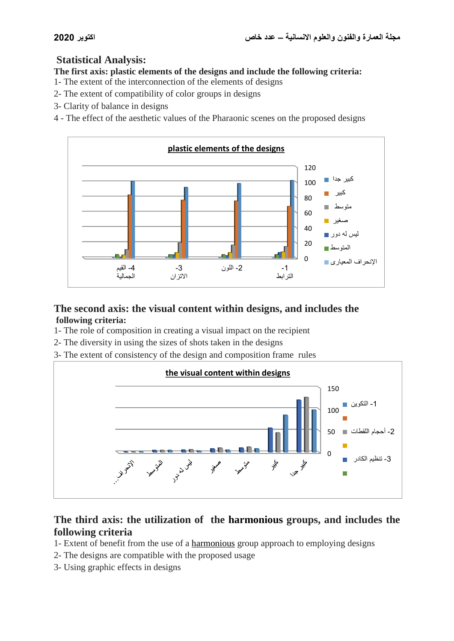## **Statistical Analysis:**

**The first axis: plastic elements of the designs and include the following criteria:**

- 1- The extent of the interconnection of the elements of designs
- 2- The extent of compatibility of color groups in designs
- 3- Clarity of balance in designs

4 - The effect of the aesthetic values of the Pharaonic scenes on the proposed designs



## **The second axis: the visual content within designs, and includes the following criteria:**

- 1- The role of composition in creating a visual impact on the recipient
- 2- The diversity in using the sizes of shots taken in the designs
- 3- The extent of consistency of the design and composition frame rules



## **The third axis: the utilization of the harmonious groups, and includes the following criteria**

- 1- Extent of benefit from the use of a harmonious group approach to employing designs
- 2- The designs are compatible with the proposed usage
- 3- Using graphic effects in designs